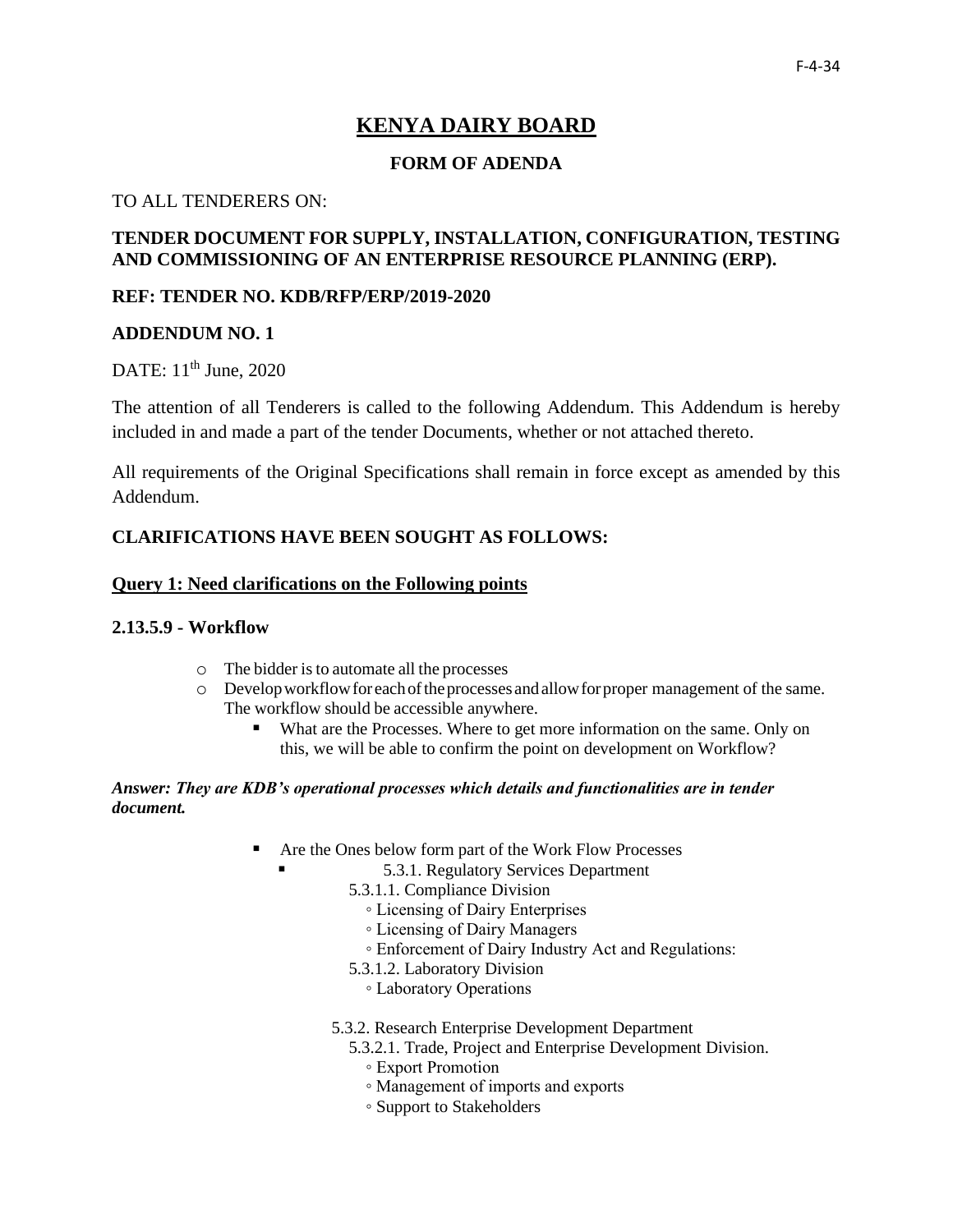# **KENYA DAIRY BOARD**

# **FORM OF ADENDA**

### TO ALL TENDERERS ON:

# **TENDER DOCUMENT FOR SUPPLY, INSTALLATION, CONFIGURATION, TESTING AND COMMISSIONING OF AN ENTERPRISE RESOURCE PLANNING (ERP).**

### **REF: TENDER NO. KDB/RFP/ERP/2019-2020**

### **ADDENDUM NO. 1**

DATE: 11<sup>th</sup> June, 2020

The attention of all Tenderers is called to the following Addendum. This Addendum is hereby included in and made a part of the tender Documents, whether or not attached thereto.

All requirements of the Original Specifications shall remain in force except as amended by this Addendum.

# **CLARIFICATIONS HAVE BEEN SOUGHT AS FOLLOWS:**

### **Query 1: Need clarifications on the Following points**

### **2.13.5.9 - Workflow**

- o The bidder isto automate all the processes
- $\circ$  Develop workflow for each of the processes and allow for proper management of the same. The workflow should be accessible anywhere.
	- What are the Processes. Where to get more information on the same. Only on this, we will be able to confirm the point on development on Workflow?

### *Answer: They are KDB's operational processes which details and functionalities are in tender document.*

- Are the Ones below form part of the Work Flow Processes
	- 5.3.1. Regulatory Services Department
	- 5.3.1.1. Compliance Division
		- Licensing of Dairy Enterprises
		- Licensing of Dairy Managers
		- Enforcement of Dairy Industry Act and Regulations:
	- 5.3.1.2. Laboratory Division
		- Laboratory Operations
	- 5.3.2. Research Enterprise Development Department
		- 5.3.2.1. Trade, Project and Enterprise Development Division.
			- Export Promotion
			- Management of imports and exports
			- Support to Stakeholders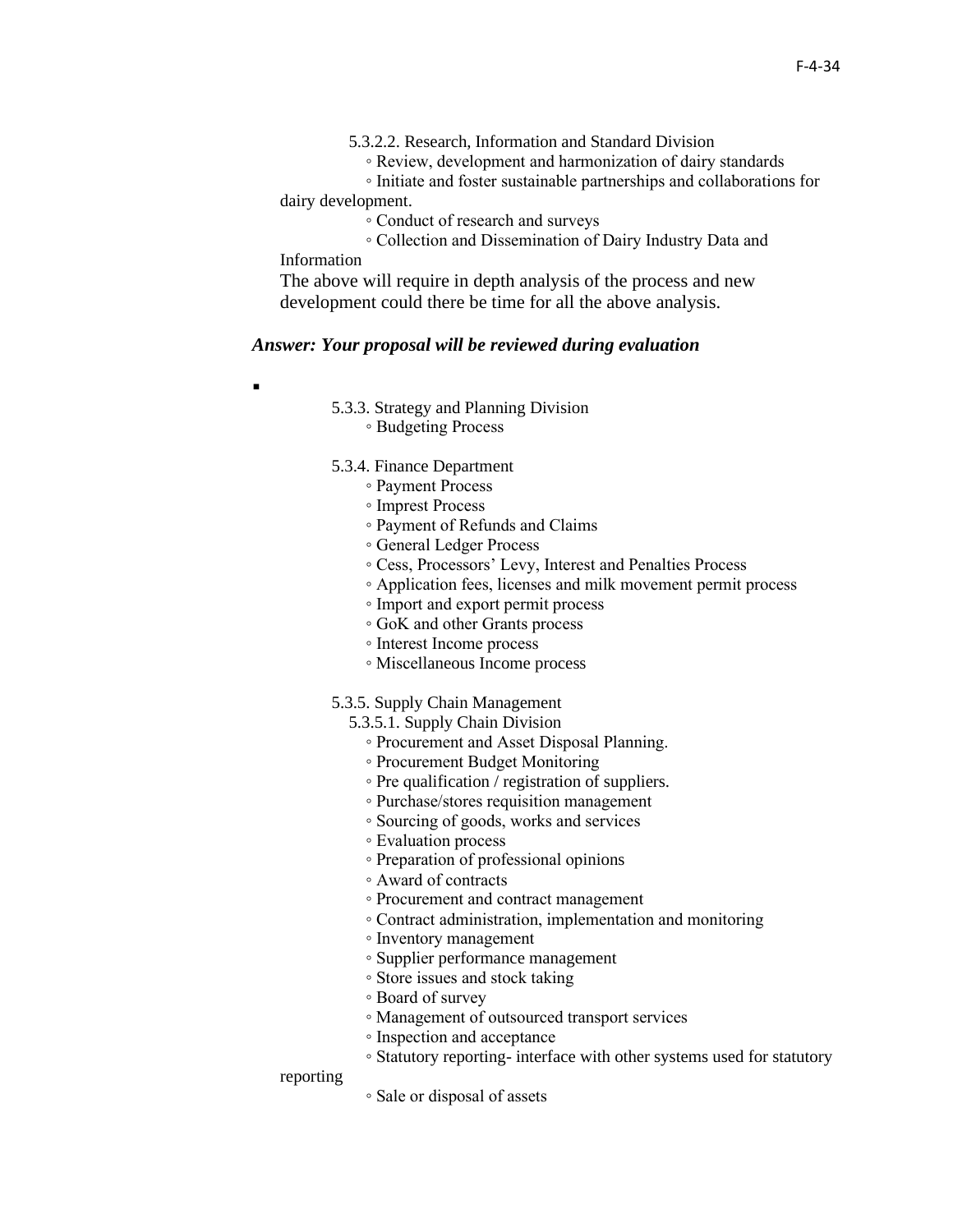◦ Review, development and harmonization of dairy standards

 ◦ Initiate and foster sustainable partnerships and collaborations for dairy development.

◦ Conduct of research and surveys

 ◦ Collection and Dissemination of Dairy Industry Data and Information

The above will require in depth analysis of the process and new development could there be time for all the above analysis.

#### *Answer: Your proposal will be reviewed during evaluation*

▪

- 5.3.3. Strategy and Planning Division
	- Budgeting Process
- 5.3.4. Finance Department
	- Payment Process
	- Imprest Process
	- Payment of Refunds and Claims
	- General Ledger Process
	- Cess, Processors' Levy, Interest and Penalties Process
	- Application fees, licenses and milk movement permit process
	- Import and export permit process
	- GoK and other Grants process
	- Interest Income process
	- Miscellaneous Income process

#### 5.3.5. Supply Chain Management

- 5.3.5.1. Supply Chain Division
	- Procurement and Asset Disposal Planning.
	- Procurement Budget Monitoring
	- Pre qualification / registration of suppliers.
	- Purchase/stores requisition management
	- Sourcing of goods, works and services
	- Evaluation process
	- Preparation of professional opinions
	- Award of contracts
	- Procurement and contract management
	- Contract administration, implementation and monitoring
	- Inventory management
	- Supplier performance management
	- Store issues and stock taking
	- Board of survey
	- Management of outsourced transport services
	- Inspection and acceptance
	- Statutory reporting- interface with other systems used for statutory

#### reporting

◦ Sale or disposal of assets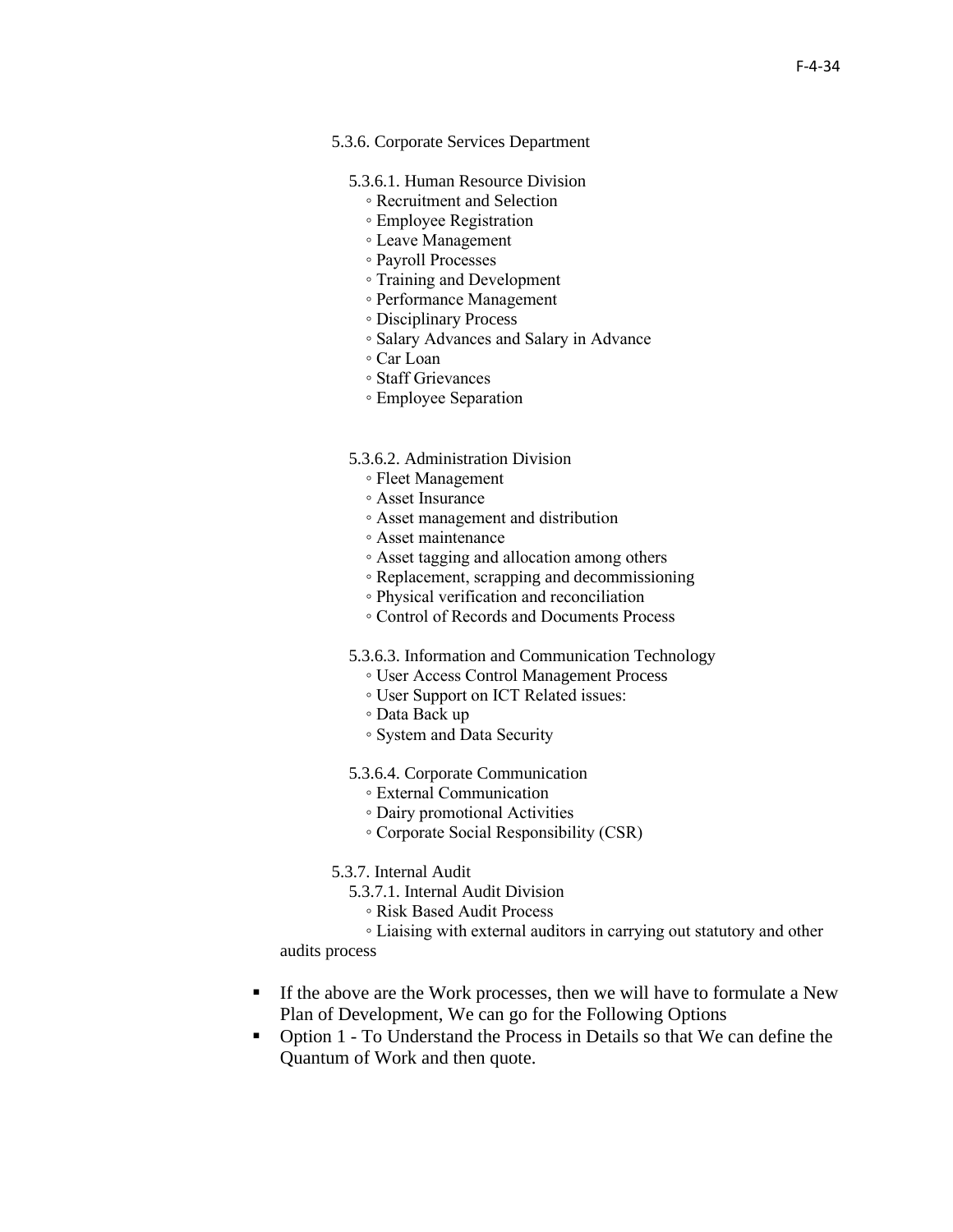#### 5.3.6. Corporate Services Department

- 5.3.6.1. Human Resource Division
	- Recruitment and Selection
	- Employee Registration
	- Leave Management
	- Payroll Processes
	- Training and Development
	- Performance Management
	- Disciplinary Process
	- Salary Advances and Salary in Advance
	- Car Loan
	- Staff Grievances
	- Employee Separation

#### 5.3.6.2. Administration Division

- Fleet Management
- Asset Insurance
- Asset management and distribution
- Asset maintenance
- Asset tagging and allocation among others
- Replacement, scrapping and decommissioning
- Physical verification and reconciliation
- Control of Records and Documents Process
- 5.3.6.3. Information and Communication Technology
	- User Access Control Management Process
	- User Support on ICT Related issues:
	- Data Back up
	- System and Data Security

5.3.6.4. Corporate Communication

- External Communication
- Dairy promotional Activities
- Corporate Social Responsibility (CSR)
- 5.3.7. Internal Audit
	- 5.3.7.1. Internal Audit Division
		- Risk Based Audit Process

 ◦ Liaising with external auditors in carrying out statutory and other audits process

- **•** If the above are the Work processes, then we will have to formulate a New Plan of Development, We can go for the Following Options
- Option 1 To Understand the Process in Details so that We can define the Quantum of Work and then quote.